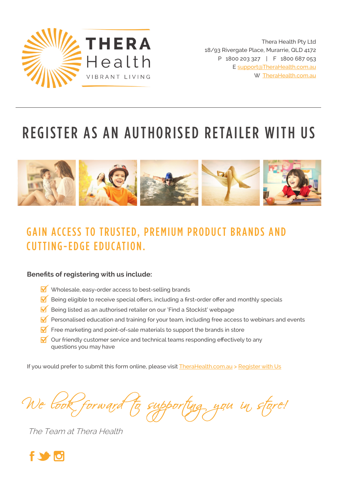

Thera Health Pty Ltd 18/93 Rivergate Place, Murarrie, QLD 4172 P 1800 203 327 | F 1800 687 053 E support@TheraHealth.com.au W TheraHealth.com.au

# REGISTER AS AN AUTHORISED RETAILER WITH US



# GAIN ACCESS TO TRUSTED, PREMIUM PRODUCT BRANDS AND CUTTING-EDGE EDUCATION.

### **Benefits of registering with us include:**

- $\overline{\mathsf{W}}$  Wholesale, easy-order access to best-selling brands
- $\blacksquare$  Being eligible to receive special offers, including a first-order offer and monthly specials
- $\overline{M}$  Being listed as an authorised retailer on our 'Find a Stockist' webpage
- $\overline{\mathbf{y}}$  Personalised education and training for your team, including free access to webinars and events
- $\overline{\mathbf{M}}$  Free marketing and point-of-sale materials to support the brands in store
- $\overline{\mathbf{v}}$  Our friendly customer service and technical teams responding effectively to any questions you may have

If you would prefer to submit this form online, please visit TheraHealth.com.au > Register with Us

supporting you in store!

The Team at Thera Health

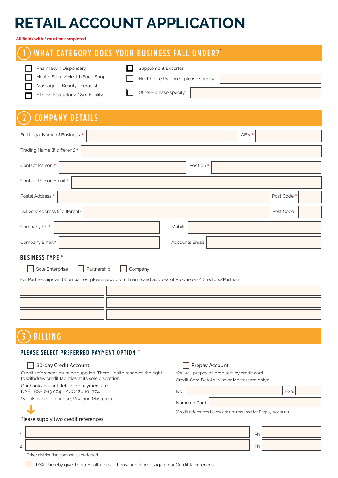# **RETAIL ACCOUNT APPLICATION**

**All fields with \* must be completed**

### 1 WHAT CATEGORY DOES YOUR BUSINESS FALL UNDER? **\***

| Pharmacy / Dispensary             | Supplement Exporter                 |  |
|-----------------------------------|-------------------------------------|--|
| Health Store / Health Food Shop   | Healthcare Practice-please specify: |  |
| Massage or Beauty Therapist       |                                     |  |
| Fitness Instructor / Gym Facility | Other-please specify:               |  |

## 2 COMPANY DETAILS

| Full Legal Name of Business *   | ABN *          |             |
|---------------------------------|----------------|-------------|
| Trading Name (if different) *   |                |             |
| Contact Person *                | Position *     |             |
| Contact Person Email*           |                |             |
| Postal Address *                |                | Post Code * |
| Delivery Address (if different) |                | Post Code   |
| Company Ph*                     | Mobile         |             |
| Company Email *                 | Accounts Email |             |
| <b>DIICINECC TVDE *</b>         |                |             |

#### **BUSINESS TYPE**

Sole Enterprise Partnership Company

For Partnerships and Companies, please provide full name and address of Proprietors/Directors/Partners:

**Prepay Account** 

## **BILLING**

### PLEASE SELECT PREFERRED PAYMENT OPTION \*

#### 30-day Credit Account

| Credit references must be supplied. Thera Health reserves the right<br>to withdraw credit facilities at its sole discretion. | You will prepay all products by credit card.<br>Credit Card Details (Visa or Mastercard only): |  |  |  |
|------------------------------------------------------------------------------------------------------------------------------|------------------------------------------------------------------------------------------------|--|--|--|
| Our bank account details for payment are:<br>NAB: BSB 083 004 ACC 126 101 704                                                | Exp<br>No.                                                                                     |  |  |  |
| We also accept cheque, Visa and Mastercard.                                                                                  | Name on Card                                                                                   |  |  |  |
|                                                                                                                              | (Credit references below are not required for Prepay Account)                                  |  |  |  |
| Please supply two credit references.                                                                                         |                                                                                                |  |  |  |
|                                                                                                                              | Ph                                                                                             |  |  |  |

|  | $\sim$       |  |
|--|--------------|--|
|  | $\mathbf{C}$ |  |

Other distribution companies preferred.

**I**I/We hereby give Thera Health the authorisation to investigate our Credit References.